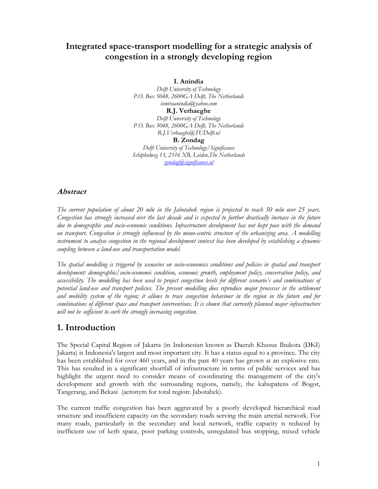# Integrated space-transport modelling for a strategic analysis of congestion in a strongly developing region

I. Anindia

Delft University of Technology P.O. Box 5048, 2600GA Delft, The Netherlands ismiraanindia@yahoo.com R.J. Verhaeghe Delft University of Technology P.O. Box 5048, 2600GA Delft, The Netherlands

R.J.Verhaeghe@TUDelft.nl

B. Zondag

Delft University of Technology/Significance Schipholweg 13, 2316 XB, Leiden,The Netherlands zondag@significance.nl

### Abstract

The current population of about 20 mln in the Jabotabek region is projected to reach 50 mln over 25 years. Congestion has strongly increased over the last decade and is expected to further drastically increase in the future due to demographic and socio-economic conditions. Infrastructure development has not kept pace with the demand on transport. Congestion is strongly influenced by the mono-centric structure of the urbanizing area. A modelling instrument to analyse congestion in the regional development context has been developed by establishing a dynamic coupling between a land-use and transportation model.

The spatial modelling is triggered by scenarios on socio-economics conditions and policies in spatial and transport development: demographic/socio-economic condition, economic growth, employment policy, conservation policy, and accessibility. The modelling has been used to project congestion levels for different scenario's and combinations of potential land-use and transport policies. The present modelling does reproduce major processes in the settlement and mobility system of the region; it allows to trace congestion behaviour in the region in the future and for combinations of different space and transport interventions. It is shown that currently planned major infrastructure will not be sufficient to curb the strongly increasing congestion.

## 1. Introduction

The Special Capital Region of Jakarta (in Indonesian known as Daerah Khusus Ibukota (DKI) Jakarta) is Indonesia's largest and most important city. It has a status equal to a province. The city has been established for over 460 years, and in the past 40 years has grown at an explosive rate. This has resulted in a significant shortfall of infrastructure in terms of public services and has highlight the urgent need to consider means of coordinating the management of the city's development and growth with the surrounding regions, namely, the kabupatens of Bogor, Tangerang, and Bekasi (acronym for total region: Jabotabek).

The current traffic congestion has been aggravated by a poorly developed hierarchical road structure and insufficient capacity on the secondary roads serving the main arterial network. For many roads, particularly in the secondary and local network, traffic capacity is reduced by inefficient use of kerb space, poor parking controls, unregulated bus stopping, mixed vehicle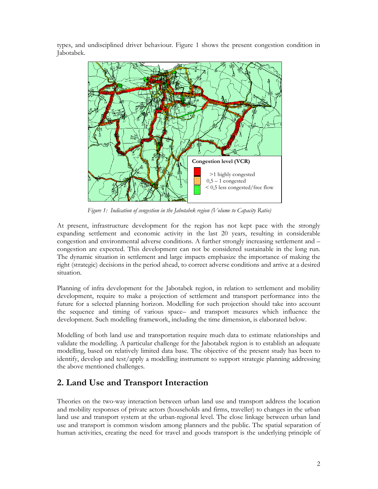types, and undisciplined driver behaviour. Figure 1 shows the present congestion condition in Jabotabek.



Figure 1: Indication of congestion in the Jabotabek region (Volume to Capacity Ratio)

At present, infrastructure development for the region has not kept pace with the strongly expanding settlement and economic activity in the last 20 years, resulting in considerable congestion and environmental adverse conditions. A further strongly increasing settlement and – congestion are expected. This development can not be considered sustainable in the long run. The dynamic situation in settlement and large impacts emphasize the importance of making the right (strategic) decisions in the period ahead, to correct adverse conditions and arrive at a desired situation.

Planning of infra development for the Jabotabek region, in relation to settlement and mobility development, require to make a projection of settlement and transport performance into the future for a selected planning horizon. Modelling for such projection should take into account the sequence and timing of various space– and transport measures which influence the development. Such modelling framework, including the time dimension, is elaborated below.

Modelling of both land use and transportation require much data to estimate relationships and validate the modelling. A particular challenge for the Jabotabek region is to establish an adequate modelling, based on relatively limited data base. The objective of the present study has been to identify, develop and test/apply a modelling instrument to support strategic planning addressing the above mentioned challenges.

# 2. Land Use and Transport Interaction

Theories on the two-way interaction between urban land use and transport address the location and mobility responses of private actors (households and firms, traveller) to changes in the urban land use and transport system at the urban-regional level. The close linkage between urban land use and transport is common wisdom among planners and the public. The spatial separation of human activities, creating the need for travel and goods transport is the underlying principle of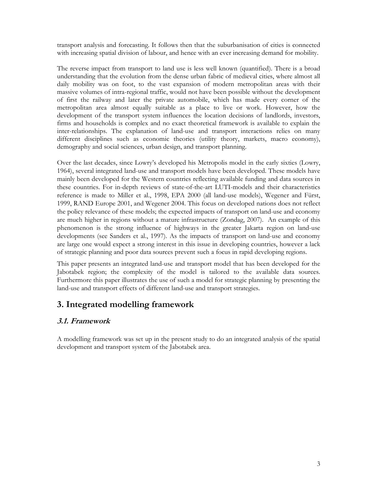transport analysis and forecasting. It follows then that the suburbanisation of cities is connected with increasing spatial division of labour, and hence with an ever increasing demand for mobility.

The reverse impact from transport to land use is less well known (quantified). There is a broad understanding that the evolution from the dense urban fabric of medieval cities, where almost all daily mobility was on foot, to the vast expansion of modern metropolitan areas with their massive volumes of intra-regional traffic, would not have been possible without the development of first the railway and later the private automobile, which has made every corner of the metropolitan area almost equally suitable as a place to live or work. However, how the development of the transport system influences the location decisions of landlords, investors, firms and households is complex and no exact theoretical framework is available to explain the inter-relationships. The explanation of land-use and transport interactions relies on many different disciplines such as economic theories (utility theory, markets, macro economy), demography and social sciences, urban design, and transport planning.

Over the last decades, since Lowry's developed his Metropolis model in the early sixties (Lowry, 1964), several integrated land-use and transport models have been developed. These models have mainly been developed for the Western countries reflecting available funding and data sources in these countries. For in-depth reviews of state-of-the-art LUTI-models and their characteristics reference is made to Miller et al., 1998, EPA 2000 (all land-use models), Wegener and Fürst, 1999, RAND Europe 2001, and Wegener 2004. This focus on developed nations does not reflect the policy relevance of these models; the expected impacts of transport on land-use and economy are much higher in regions without a mature infrastructure (Zondag, 2007). An example of this phenomenon is the strong influence of highways in the greater Jakarta region on land-use developments (see Sanders et al., 1997). As the impacts of transport on land-use and economy are large one would expect a strong interest in this issue in developing countries, however a lack of strategic planning and poor data sources prevent such a focus in rapid developing regions.

This paper presents an integrated land-use and transport model that has been developed for the Jabotabek region; the complexity of the model is tailored to the available data sources. Furthermore this paper illustrates the use of such a model for strategic planning by presenting the land-use and transport effects of different land-use and transport strategies.

# 3. Integrated modelling framework

## 3.1. Framework

A modelling framework was set up in the present study to do an integrated analysis of the spatial development and transport system of the Jabotabek area.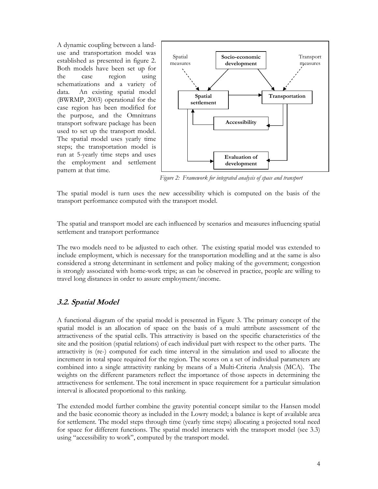A dynamic coupling between a landuse and transportation model was established as presented in figure 2. Both models have been set up for the case region using schematizations and a variety of data. An existing spatial model (BWRMP, 2003) operational for the case region has been modified for the purpose, and the Omnitrans transport software package has been used to set up the transport model. The spatial model uses yearly time steps; the transportation model is run at 5-yearly time steps and uses the employment and settlement pattern at that time.



Figure 2: Framework for integrated analysis of space and transport

The spatial model is turn uses the new accessibility which is computed on the basis of the transport performance computed with the transport model.

The spatial and transport model are each influenced by scenarios and measures influencing spatial settlement and transport performance

The two models need to be adjusted to each other. The existing spatial model was extended to include employment, which is necessary for the transportation modelling and at the same is also considered a strong determinant in settlement and policy making of the government; congestion is strongly associated with home-work trips; as can be observed in practice, people are willing to travel long distances in order to assure employment/income.

### 3.2. Spatial Model

A functional diagram of the spatial model is presented in Figure 3. The primary concept of the spatial model is an allocation of space on the basis of a multi attribute assessment of the attractiveness of the spatial cells. This attractivity is based on the specific characteristics of the site and the position (spatial relations) of each individual part with respect to the other parts. The attractivity is (re-) computed for each time interval in the simulation and used to allocate the increment in total space required for the region. The scores on a set of individual parameters are combined into a single attractivity ranking by means of a Multi-Criteria Analysis (MCA). The weights on the different parameters reflect the importance of those aspects in determining the attractiveness for settlement. The total increment in space requirement for a particular simulation interval is allocated proportional to this ranking.

The extended model further combine the gravity potential concept similar to the Hansen model and the basic economic theory as included in the Lowry model; a balance is kept of available area for settlement. The model steps through time (yearly time steps) allocating a projected total need for space for different functions. The spatial model interacts with the transport model (see 3.3) using "accessibility to work", computed by the transport model.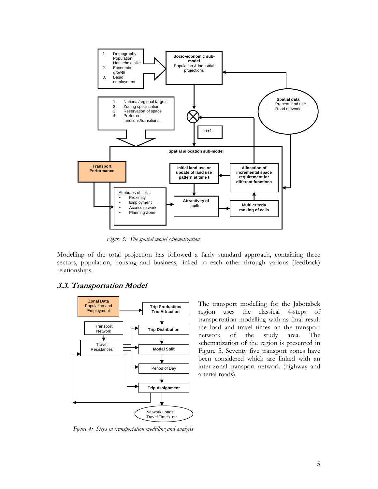

Figure 3: The spatial model schematization

Modelling of the total projection has followed a fairly standard approach, containing three sectors, population, housing and business, linked to each other through various (feedback) relationships.

#### 3.3. Transportation Model



The transport modelling for the Jabotabek region uses the classical 4-steps of transportation modelling with as final result the load and travel times on the transport network of the study area. The schematization of the region is presented in Figure 5. Seventy five transport zones have been considered which are linked with an inter-zonal transport network (highway and arterial roads).

Figure 4: Steps in transportation modelling and analysis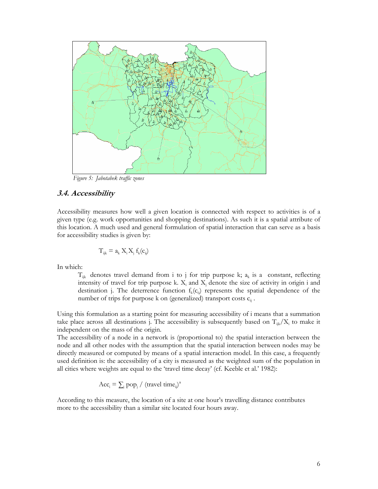

Figure 5: Jabotabek traffic zones

### 3.4. Accessibility

Accessibility measures how well a given location is connected with respect to activities is of a given type (e.g. work opportunities and shopping destinations). As such it is a spatial attribute of this location. A much used and general formulation of spatial interaction that can serve as a basis for accessibility studies is given by:

$$
T_{ijk} = a_k X_i X_j f_k(c_{ij})
$$

In which:

 $T_{ijk}$  denotes travel demand from i to j for trip purpose k;  $a_k$  is a constant, reflecting intensity of travel for trip purpose k.  $X_i$  and  $X_j$  denote the size of activity in origin i and destination j. The deterrence function  $f_k(c_{ij})$  represents the spatial dependence of the number of trips for purpose k on (generalized) transport costs  $c_{ij}$ .

Using this formulation as a starting point for measuring accessibility of i means that a summation take place across all destinations j. The accessibility is subsequently based on  $T_{ijk}/X_i$  to make it independent on the mass of the origin.

The accessibility of a node in a network is (proportional to) the spatial interaction between the node and all other nodes with the assumption that the spatial interaction between nodes may be directly measured or computed by means of a spatial interaction model. In this case, a frequently used definition is: the accessibility of a city is measured as the weighted sum of the population in all cities where weights are equal to the 'travel time decay' (cf. Keeble et al.' 1982):

$$
Acc_i = \sum_j pop_j / (travel \ time_{ij})^{\alpha}
$$

According to this measure, the location of a site at one hour's travelling distance contributes more to the accessibility than a similar site located four hours away.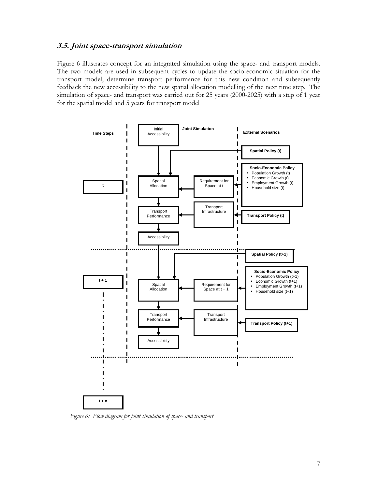### 3.5. Joint space-transport simulation

Figure 6 illustrates concept for an integrated simulation using the space- and transport models. The two models are used in subsequent cycles to update the socio-economic situation for the transport model, determine transport performance for this new condition and subsequently feedback the new accessibility to the new spatial allocation modelling of the next time step. The simulation of space- and transport was carried out for 25 years (2000-2025) with a step of 1 year for the spatial model and 5 years for transport model



Figure 6: Flow diagram for joint simulation of space- and transport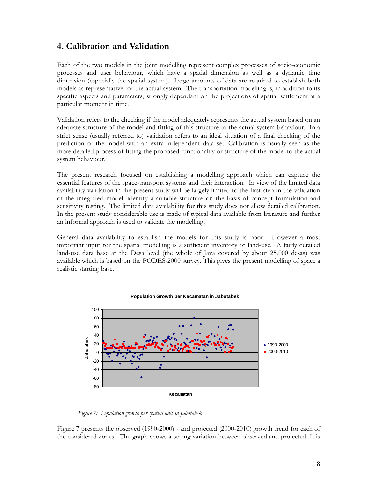# 4. Calibration and Validation

Each of the two models in the joint modelling represent complex processes of socio-economic processes and user behaviour, which have a spatial dimension as well as a dynamic time dimension (especially the spatial system). Large amounts of data are required to establish both models as representative for the actual system. The transportation modelling is, in addition to its specific aspects and parameters, strongly dependant on the projections of spatial settlement at a particular moment in time.

Validation refers to the checking if the model adequately represents the actual system based on an adequate structure of the model and fitting of this structure to the actual system behaviour. In a strict sense (usually referred to) validation refers to an ideal situation of a final checking of the prediction of the model with an extra independent data set. Calibration is usually seen as the more detailed process of fitting the proposed functionality or structure of the model to the actual system behaviour.

The present research focused on establishing a modelling approach which can capture the essential features of the space-transport systems and their interaction. In view of the limited data availability validation in the present study will be largely limited to the first step in the validation of the integrated model: identify a suitable structure on the basis of concept formulation and sensitivity testing. The limited data availability for this study does not allow detailed calibration. In the present study considerable use is made of typical data available from literature and further an informal approach is used to validate the modelling.

General data availability to establish the models for this study is poor. However a most important input for the spatial modelling is a sufficient inventory of land-use. A fairly detailed land-use data base at the Desa level (the whole of Java covered by about 25,000 desas) was available which is based on the PODES-2000 survey. This gives the present modelling of space a realistic starting base.



Figure 7: Population growth per spatial unit in Jabotabek

Figure 7 presents the observed (1990-2000) - and projected (2000-2010) growth trend for each of the considered zones. The graph shows a strong variation between observed and projected. It is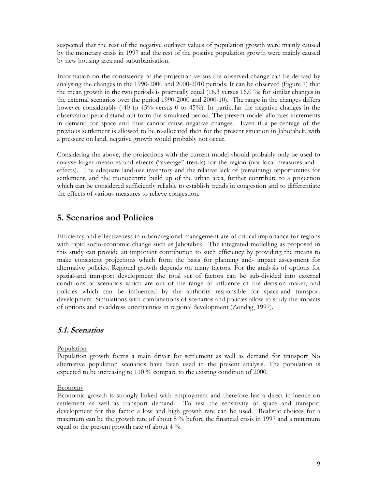suspected that the rest of the negative outlayer values of population growth were mainly caused by the monetary crisis in 1997 and the rest of the positive population growth were mainly caused by new housing area and suburbanisation.

Information on the consistency of the projection versus the observed change can be derived by analysing the changes in the 1990-2000 and 2000-2010 periods. It can be observed (Figure 7) that the mean growth in the two periods is practically equal (16.3 versus 16.0 %; for similar changes in the external scenarios over the period 1990-2000 and 2000-10). The range in the changes differs however considerably (-40 to 45% versus 0 to 45%). In particular the negative changes in the observation period stand out from the simulated period. The present model allocates increments in demand for space and thus cannot cause negative changes. Even if a percentage of the previous settlement is allowed to be re-allocated then for the present situation in Jabotabek, with a pressure on land, negative growth would probably not occur.

Considering the above, the projections with the current model should probably only be used to analyse larger measures and effects ("average" trends) for the region (not local measures and – effects). The adequate land-use inventory and the relative lack of (remaining) opportunities for settlement, and the monocentric build up of the urban area, further contribute to a projection which can be considered sufficiently reliable to establish trends in congestion and to differentiate the effects of various measures to relieve congestion.

## 5. Scenarios and Policies

Efficiency and effectiveness in urban/regional management are of critical importance for regions with rapid socio-economic change such as Jabotabek. The integrated modelling as proposed in this study can provide an important contribution to such efficiency by providing the means to make consistent projections which form the basis for planning and- impact assessment for alternative policies. Regional growth depends on many factors. For the analysis of options for spatial-and transport development the total set of factors can be sub-divided into external conditions or scenarios which are out of the range of influence of the decision maker, and policies which can be influenced by the authority responsible for space-and transport development. Simulations with combinations of scenarios and policies allow to study the impacts of options and to address uncertainties in regional development (Zondag, 1997).

### 5.1. Scenarios

#### Population

Population growth forms a main driver for settlement as well as demand for transport No alternative population scenarios have been used in the present analysis. The population is expected to be increasing to 110 % compare to the existing condition of 2000.

#### **Economy**

Economic growth is strongly linked with employment and therefore has a direct influence on settlement as well as transport demand. To test the sensitivity of space and transport development for this factor a low and high growth rate can be used. Realistic choices for a maximum can be the growth rate of about 8 % before the financial crisis in 1997 and a minimum equal to the present growth rate of about 4 %.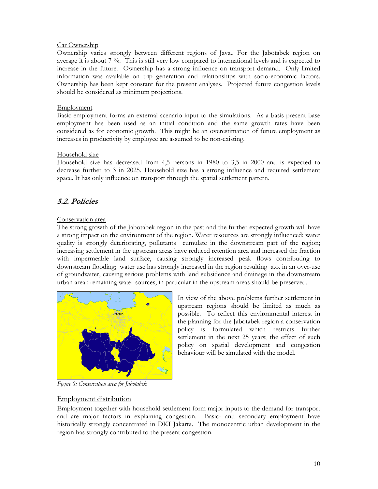#### Car Ownership

Ownership varies strongly between different regions of Java.. For the Jabotabek region on average it is about 7 %. This is still very low compared to international levels and is expected to increase in the future. Ownership has a strong influence on transport demand. Only limited information was available on trip generation and relationships with socio-economic factors. Ownership has been kept constant for the present analyses. Projected future congestion levels should be considered as minimum projections.

### **Employment**

Basic employment forms an external scenario input to the simulations. As a basis present base employment has been used as an initial condition and the same growth rates have been considered as for economic growth. This might be an overestimation of future employment as increases in productivity by employee are assumed to be non-existing.

### Household size

Household size has decreased from 4,5 persons in 1980 to 3,5 in 2000 and is expected to decrease further to 3 in 2025. Household size has a strong influence and required settlement space. It has only influence on transport through the spatial settlement pattern.

## 5.2. Policies

### Conservation area

The strong growth of the Jabotabek region in the past and the further expected growth will have a strong impact on the environment of the region. Water resources are strongly influenced: water quality is strongly deteriorating, pollutants cumulate in the downstream part of the region; increasing settlement in the upstream areas have reduced retention area and increased the fraction with impermeable land surface, causing strongly increased peak flows contributing to downstream flooding; water use has strongly increased in the region resulting a.o. in an over-use of groundwater, causing serious problems with land subsidence and drainage in the downstream urban area.; remaining water sources, in particular in the upstream areas should be preserved.



In view of the above problems further settlement in upstream regions should be limited as much as possible. To reflect this environmental interest in the planning for the Jabotabek region a conservation policy is formulated which restricts further settlement in the next 25 years; the effect of such policy on spatial development and congestion behaviour will be simulated with the model.

Figure 8: Conservation area for Jabotabek

### Employment distribution

Employment together with household settlement form major inputs to the demand for transport and are major factors in explaining congestion. Basic- and secondary employment have historically strongly concentrated in DKI Jakarta. The monocentric urban development in the region has strongly contributed to the present congestion.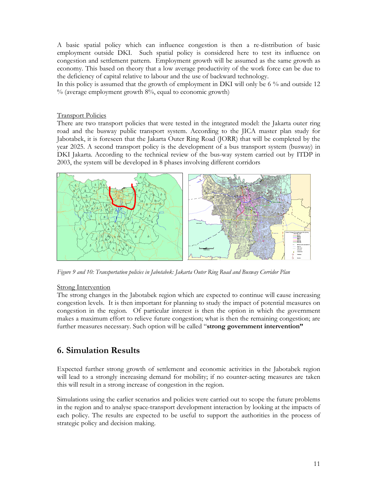A basic spatial policy which can influence congestion is then a re-distribution of basic employment outside DKI. Such spatial policy is considered here to test its influence on congestion and settlement pattern. Employment growth will be assumed as the same growth as economy. This based on theory that a low average productivity of the work force can be due to the deficiency of capital relative to labour and the use of backward technology.

In this policy is assumed that the growth of employment in DKI will only be 6 % and outside 12 % (average employment growth 8%, equal to economic growth)

#### Transport Policies

There are two transport policies that were tested in the integrated model: the Jakarta outer ring road and the busway public transport system. According to the JICA master plan study for Jabotabek, it is foreseen that the Jakarta Outer Ring Road (JORR) that will be completed by the year 2025. A second transport policy is the development of a bus transport system (busway) in DKI Jakarta. According to the technical review of the bus-way system carried out by ITDP in 2003, the system will be developed in 8 phases involving different corridors



Figure 9 and 10: Transportation policies in Jabotabek: Jakarta Outer Ring Road and Busway Corridor Plan

#### **Strong Intervention**

The strong changes in the Jabotabek region which are expected to continue will cause increasing congestion levels. It is then important for planning to study the impact of potential measures on congestion in the region. Of particular interest is then the option in which the government makes a maximum effort to relieve future congestion; what is then the remaining congestion; are further measures necessary. Such option will be called "strong government intervention"

## 6. Simulation Results

Expected further strong growth of settlement and economic activities in the Jabotabek region will lead to a strongly increasing demand for mobility; if no counter-acting measures are taken this will result in a strong increase of congestion in the region.

Simulations using the earlier scenarios and policies were carried out to scope the future problems in the region and to analyse space-transport development interaction by looking at the impacts of each policy. The results are expected to be useful to support the authorities in the process of strategic policy and decision making.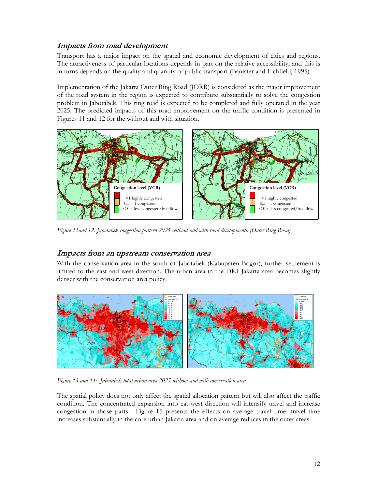### Impacts from road development

Transport has a major impact on the spatial and economic development of cities and regions. The attractiveness of particular locations depends in part on the relative accessibility, and this is in turns depends on the quality and quantity of public transport (Banister and Lichfield, 1995)

Implementation of the Jakarta Outer Ring Road (JORR) is considered as the major improvement of the road system in the region is expected to contribute substantially to solve the congestion problem in Jabotabek. This ring road is expected to be completed and fully operated in the year 2025. The predicted impacts of this road improvement on the traffic condition is presented in Figures 11 and 12 for the without and with situation.



Figure 11and 12: Jabotabek congestion pattern 2025 without and with road developmentn (Outer Ring Road)

### Impacts from an upstream conservation area

With the conservation area in the south of Jabotabek (Kabupaten Bogor), further settlement is limited to the east and west direction. The urban area in the DKI Jakarta area becomes slightly denser with the conservation area policy.



Figure 13 and 14: Jabotabek total urban area 2025 without and with conservation area

The spatial policy does not only affect the spatial allocation pattern but will also affect the traffic condition. The concentrated expansion into eat-west direction will intensify travel and increase congestion in those parts. Figure 15 presents the effects on average travel time: travel time increases substantially in the core urban Jakarta area and on average reduces in the outer areas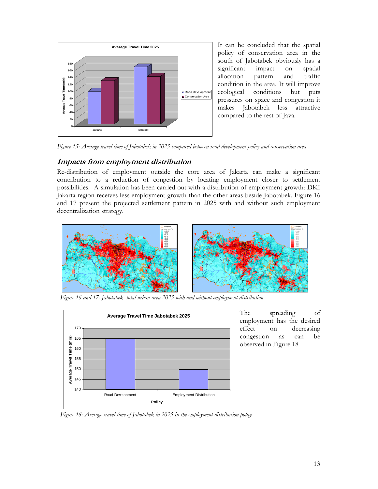

It can be concluded that the spatial policy of conservation area in the south of Jabotabek obviously has a significant impact on spatial allocation pattern and traffic condition in the area. It will improve ecological conditions but puts pressures on space and congestion it makes Jabotabek less attractive compared to the rest of Java.

Figure 15: Average travel time of Jabotabek in 2025 compared between road development policy and conservation area

### Impacts from employment distribution

Re-distribution of employment outside the core area of Jakarta can make a significant contribution to a reduction of congestion by locating employment closer to settlement possibilities. A simulation has been carried out with a distribution of employment growth: DKI Jakarta region receives less employment growth than the other areas beside Jabotabek. Figure 16 and 17 present the projected settlement pattern in 2025 with and without such employment decentralization strategy.



Figure 16 and 17: Jabotabek total urban area 2025 with and without employment distribution



The spreading of employment has the desired effect on decreasing congestion as can be observed in Figure 18

Figure 18: Average travel time of Jabotabek in 2025 in the employment distribution policy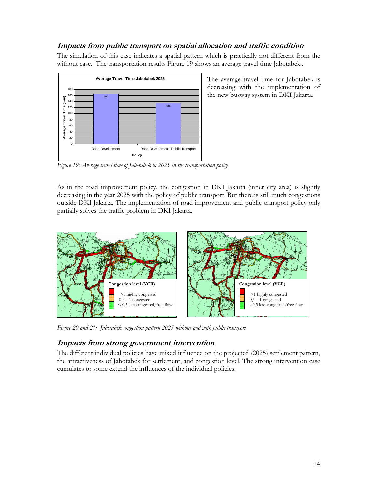## Impacts from public transport on spatial allocation and traffic condition

The simulation of this case indicates a spatial pattern which is practically not different from the without case. The transportation results Figure 19 shows an average travel time Jabotabek..



The average travel time for Jabotabek is decreasing with the implementation of the new busway system in DKI Jakarta.

Figure 19: Average travel time of Jabotabek in 2025 in the transportation policy

As in the road improvement policy, the congestion in DKI Jakarta (inner city area) is slightly decreasing in the year 2025 with the policy of public transport. But there is still much congestions outside DKI Jakarta. The implementation of road improvement and public transport policy only partially solves the traffic problem in DKI Jakarta.



Figure 20 and 21: Jabotabek congestion pattern 2025 without and with public transport

## Impacts from strong government intervention

The different individual policies have mixed influence on the projected (2025) settlement pattern, the attractiveness of Jabotabek for settlement, and congestion level. The strong intervention case cumulates to some extend the influences of the individual policies.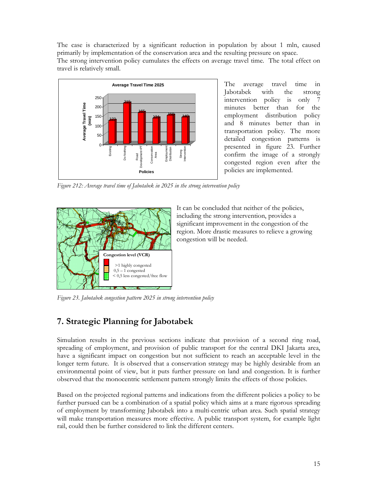The case is characterized by a significant reduction in population by about 1 mln, caused primarily by implementation of the conservation area and the resulting pressure on space. The strong intervention policy cumulates the effects on average travel time. The total effect on travel is relatively small.



The average travel time in Jabotabek with the strong intervention policy is only 7 minutes better than for the employment distribution policy and 8 minutes better than in transportation policy. The more detailed congestion patterns is presented in figure 23. Further confirm the image of a strongly congested region even after the policies are implemented.

Figure 212: Average travel time of Jabotabek in 2025 in the strong intervention policy



It can be concluded that neither of the policies, including the strong intervention, provides a significant improvement in the congestion of the region. More drastic measures to relieve a growing congestion will be needed.

Figure 23. Jabotabek congestion pattern 2025 in strong intervention policy

# 7. Strategic Planning for Jabotabek

Simulation results in the previous sections indicate that provision of a second ring road, spreading of employment, and provision of public transport for the central DKI Jakarta area, have a significant impact on congestion but not sufficient to reach an acceptable level in the longer term future. It is observed that a conservation strategy may be highly desirable from an environmental point of view, but it puts further pressure on land and congestion. It is further observed that the monocentric settlement pattern strongly limits the effects of those policies.

Based on the projected regional patterns and indications from the different policies a policy to be further pursued can be a combination of a spatial policy which aims at a mare rigorous spreading of employment by transforming Jabotabek into a multi-centric urban area. Such spatial strategy will make transportation measures more effective. A public transport system, for example light rail, could then be further considered to link the different centers.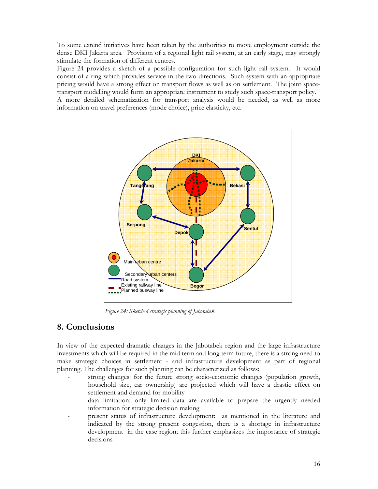To some extend initiatives have been taken by the authorities to move employment outside the dense DKI Jakarta area. Provision of a regional light rail system, at an early stage, may strongly stimulate the formation of different centres.

Figure 24 provides a sketch of a possible configuration for such light rail system. It would consist of a ring which provides service in the two directions. Such system with an appropriate pricing would have a strong effect on transport flows as well as on settlement. The joint spacetransport modelling would form an appropriate instrument to study such space-transport policy. A more detailed schematization for transport analysis would be needed, as well as more information on travel preferences (mode choice), price elasticity, etc.



Figure 24: Sketched strategic planning of Jabotabek

## 8. Conclusions

In view of the expected dramatic changes in the Jabotabek region and the large infrastructure investments which will be required in the mid term and long term future, there is a strong need to make strategic choices in settlement - and infrastructure development as part of regional planning. The challenges for such planning can be characterized as follows:

- strong changes: for the future strong socio-economic changes (population growth, household size, car ownership) are projected which will have a drastic effect on settlement and demand for mobility
- data limitation: only limited data are available to prepare the urgently needed information for strategic decision making
- present status of infrastructure development: as mentioned in the literature and indicated by the strong present congestion, there is a shortage in infrastructure development in the case region; this further emphasizes the importance of strategic decisions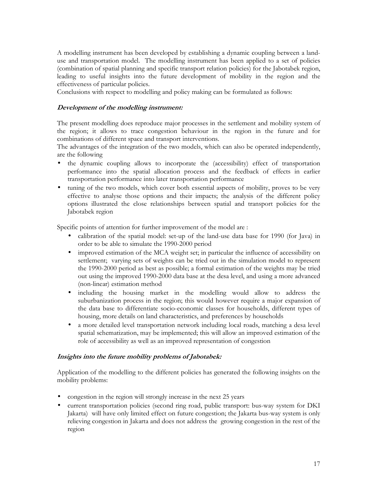A modelling instrument has been developed by establishing a dynamic coupling between a landuse and transportation model. The modelling instrument has been applied to a set of policies (combination of spatial planning and specific transport relation policies) for the Jabotabek region, leading to useful insights into the future development of mobility in the region and the effectiveness of particular policies.

Conclusions with respect to modelling and policy making can be formulated as follows:

### Development of the modelling instrument:

The present modelling does reproduce major processes in the settlement and mobility system of the region; it allows to trace congestion behaviour in the region in the future and for combinations of different space and transport interventions.

The advantages of the integration of the two models, which can also be operated independently, are the following

- the dynamic coupling allows to incorporate the (accessibility) effect of transportation performance into the spatial allocation process and the feedback of effects in earlier transportation performance into later transportation performance
- tuning of the two models, which cover both essential aspects of mobility, proves to be very effective to analyse those options and their impacts; the analysis of the different policy options illustrated the close relationships between spatial and transport policies for the Jabotabek region

Specific points of attention for further improvement of the model are :

- calibration of the spatial model: set-up of the land-use data base for 1990 (for Java) in order to be able to simulate the 1990-2000 period
- improved estimation of the MCA weight set; in particular the influence of accessibility on settlement; varying sets of weights can be tried out in the simulation model to represent the 1990-2000 period as best as possible; a formal estimation of the weights may be tried out using the improved 1990-2000 data base at the desa level, and using a more advanced (non-linear) estimation method
- including the housing market in the modelling would allow to address the suburbanization process in the region; this would however require a major expansion of the data base to differentiate socio-economic classes for households, different types of housing, more details on land characteristics, and preferences by households
- a more detailed level transportation network including local roads, matching a desa level spatial schematization, may be implemented; this will allow an improved estimation of the role of accessibility as well as an improved representation of congestion

#### Insights into the future mobility problems of Jabotabek:

Application of the modelling to the different policies has generated the following insights on the mobility problems:

- congestion in the region will strongly increase in the next 25 years
- current transportation policies (second ring road, public transport: bus-way system for DKI Jakarta) will have only limited effect on future congestion; the Jakarta bus-way system is only relieving congestion in Jakarta and does not address the growing congestion in the rest of the region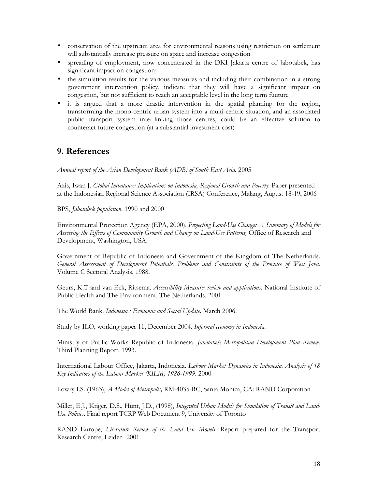- conservation of the upstream area for environmental reasons using restriction on settlement will substantially increase pressure on space and increase congestion
- spreading of employment, now concentrated in the DKI Jakarta centre of Jabotabek, has significant impact on congestion;
- the simulation results for the various measures and including their combination in a strong government intervention policy, indicate that they will have a significant impact on congestion, but not sufficient to reach an acceptable level in the long term fuuture
- it is argued that a more drastic intervention in the spatial planning for the region, transforming the mono-centric urban system into a multi-centric situation, and an associated public transport system inter-linking those centres, could be an effective solution to counteract future congestion (at a substantial investment cost)

## 9. References

Annual report of the Asian Development Bank (ADB) of South East Asia. 2005

Azis, Iwan J. Global Imbalance: Implications on Indonesia, Regional Growth and Poverty. Paper presented at the Indonesian Regional Science Association (IRSA) Conference, Malang, August 18-19, 2006

BPS, Jabotabek population. 1990 and 2000

Environmental Protection Agency (EPA, 2000), Projecting Land-Use Change: A Summary of Models for Assessing the Effects of Communnity Growth and Change on Land-Use Patterns, Office of Research and Development, Washington, USA.

Government of Republic of Indonesia and Government of the Kingdom of The Netherlands. General Assessment of Development Potentials, Problems and Constraints of the Province of West Java. Volume C Sectoral Analysis. 1988.

Geurs, K.T and van Eck, Ritsema. Accessibility Measure: review and applications. National Institute of Public Health and The Environment. The Netherlands. 2001.

The World Bank. Indonesia: Economic and Social Update. March 2006.

Study by ILO, working paper 11, December 2004. Informal economy in Indonesia.

Ministry of Public Works Republic of Indonesia. Jabotabek Metropolitan Development Plan Review. Third Planning Report. 1993.

International Labour Office, Jakarta, Indonesia. Labour Market Dynamics in Indonesia. Analysis of 18 Key Indicators of the Labour Market (KILM) 1986-1999. 2000

Lowry I.S. (1963), A Model of Metropolis, RM-4035-RC, Santa Monica, CA: RAND Corporation

Miller, E.J., Kriger, D.S., Hunt, J.D., (1998), Integrated Urban Models for Simulation of Transit and Land-Use Policies, Final report TCRP Web Document 9, University of Toronto

RAND Europe, Literature Review of the Land Use Models. Report prepared for the Transport Research Centre, Leiden 2001